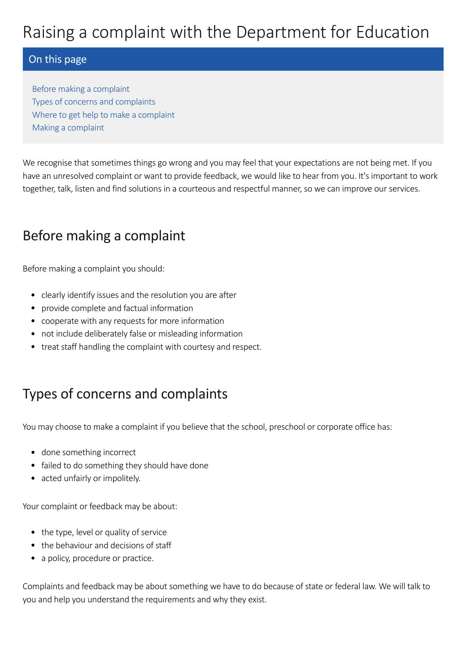### On this page

Before making a [complaint](#page-0-0) Types of concerns and [complaints](#page-0-1) Where to get help to make a [complaint](#page-1-0) Making a [complaint](#page-1-1)

We recognise that sometimes things go wrong and you may feel that your expectations are not being met. If you have an unresolved complaint or want to provide feedback, we would like to hear from you. It's important to work together, talk, listen and find solutions in a courteous and respectful manner, so we can improve our services.

# <span id="page-0-0"></span>Before making a complaint

Before making a complaint you should:

- clearly identify issues and the resolution you are after
- provide complete and factual information
- cooperate with any requests for more information
- not include deliberately false or misleading information
- treat staff handling the complaint with courtesy and respect.

# <span id="page-0-1"></span>Types of concerns and complaints

You may choose to make a complaint if you believe that the school, preschool or corporate office has:

- done something incorrect
- failed to do something they should have done
- acted unfairly or impolitely.

Your complaint or feedback may be about:

- the type, level or quality of service
- the behaviour and decisions of staff
- a policy, procedure or practice.

Complaints and feedback may be about something we have to do because of state or federal law. We will talk to you and help you understand the requirements and why they exist.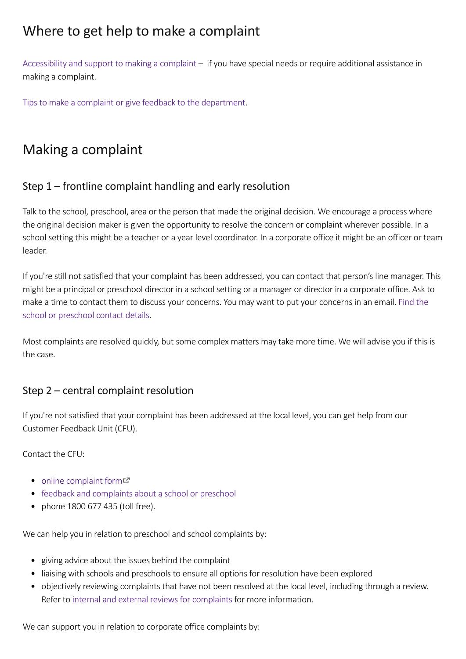### <span id="page-1-0"></span>Where to get help to make a complaint

[Accessibility](https://www.education.sa.gov.au/accessibility-and-support-make-complaint) and support to making a complaint – if you have special needs or require additional assistance in making a complaint.

Tips to make a complaint or give feedback to the [department](https://www.education.sa.gov.au/tips-make-complaint-or-give-feedback-department).

# <span id="page-1-1"></span>Making a complaint

### Step 1 – frontline complaint handling and early resolution

Talk to the school, preschool, area or the person that made the original decision. We encourage a process where the original decision maker is given the opportunity to resolve the concern or complaint wherever possible. In a school setting this might be a teacher or a year level coordinator. In a corporate office it might be an officer or team leader.

If you're still not satisfied that your complaint has been addressed, you can contact that person's line manager. This might be a principal or preschool director in a school setting or a manager or director in a corporate office. Ask to make a time to contact them to discuss your concerns. You may want to put your concerns in an email. Find the school or [preschool](https://www.education.sa.gov.au/sites-and-facilities/education-and-care-locations/find-school-or-preschool) contact details.

Most complaints are resolved quickly, but some complex matters may take more time. We will advise you if this is the case.

#### Step 2 – central complaint resolution

If you're not satisfied that your complaint has been addressed at the local level, you can get help from our Customer Feedback Unit (CFU).

Contact the CFU:

- $\bullet$  online [complaint](https://online.forms.sa.edu.au/content/forms/af/public/school-complaint.html) form $\Xi$
- feedback and [complaints](https://www.education.sa.gov.au/department/about-department/contact-department/feedback-and-complaints-about-school-or-preschool) about a school or preschool
- phone 1800 677 435 (toll free).

We can help you in relation to preschool and school complaints by:

- giving advice about the issues behind the complaint
- liaising with schools and preschools to ensure all options for resolution have been explored
- objectively reviewing complaints that have not been resolved at the local level, including through a review. Refer to internal and external reviews for [complaints](https://www.education.sa.gov.au/internal-and-external-reviews-school-or-preschool-complaints) for more information.

We can support you in relation to corporate office complaints by: